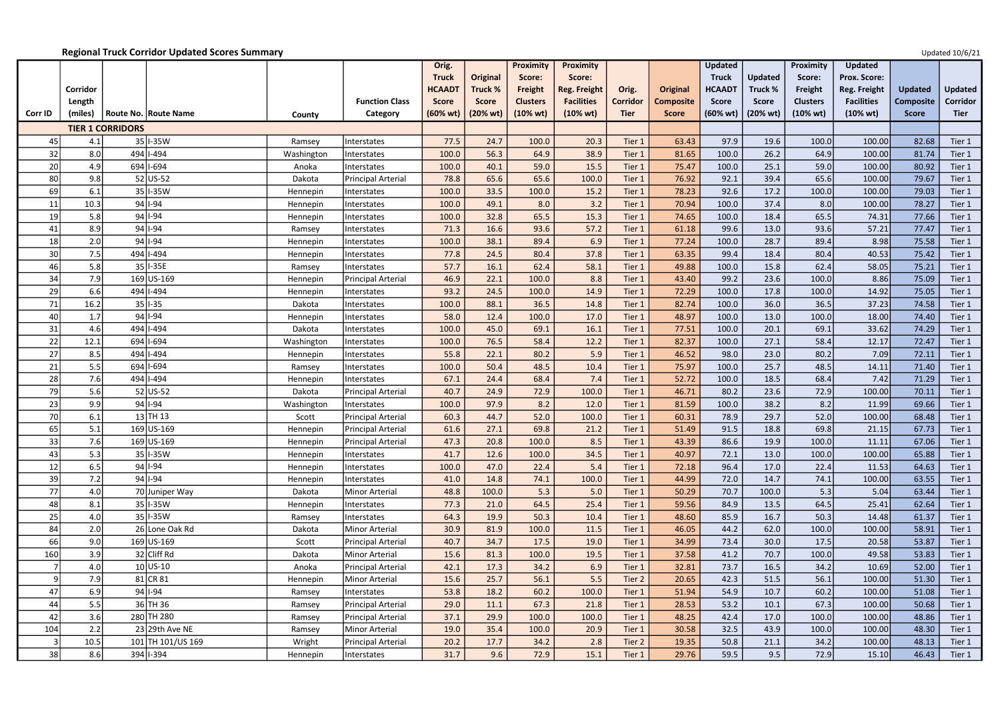|                |          |                         |                             |            |                       | Orig.              |                | Proximity       | <b>Proximity</b>    |                 |                  | <b>Updated</b>     |                | Proximity           | <b>Updated</b>      |                  |                |
|----------------|----------|-------------------------|-----------------------------|------------|-----------------------|--------------------|----------------|-----------------|---------------------|-----------------|------------------|--------------------|----------------|---------------------|---------------------|------------------|----------------|
|                |          |                         |                             |            |                       | <b>Truck</b>       | Original       | Score:          | Score:              |                 |                  | <b>Truck</b>       | <b>Updated</b> | Score:              | <b>Prox. Score:</b> |                  |                |
|                | Corridor |                         |                             |            |                       | <b>HCAADT</b>      | <b>Truck %</b> | Freight         | <b>Reg. Freight</b> | Orig.           | Original         | <b>HCAADT</b>      | Truck %        | Freight             | <b>Reg. Freight</b> | <b>Updated</b>   | <b>Updated</b> |
|                | Length   |                         |                             |            | <b>Function Class</b> | <b>Score</b>       | <b>Score</b>   | <b>Clusters</b> | <b>Facilities</b>   | <b>Corridor</b> | <b>Composite</b> | <b>Score</b>       | <b>Score</b>   | <b>Clusters</b>     | <b>Facilities</b>   | <b>Composite</b> | Corridor       |
| <b>Corr ID</b> | (miles)  |                         | <b>Route No. Route Name</b> | County     | Category              | $(60% \text{ wt})$ | (20% wt)       | (10% wt)        | $(10% \text{ wt})$  | <b>Tier</b>     | <b>Score</b>     | $(60% \text{ wt})$ | (20% wt)       | $(10\% \text{ wt})$ | $(10% \text{ wt})$  | <b>Score</b>     | <b>Tier</b>    |
|                |          | <b>TIER 1 CORRIDORS</b> |                             |            |                       |                    |                |                 |                     |                 |                  |                    |                |                     |                     |                  |                |
| 45             | 4.1      |                         | 35 I-35 W                   | Ramsey     | Interstates           | 77.5               | 24.7           | 100.0           | 20.3                | Tier 1          | 63.43            | 97.9               | 19.6           | 100.0               | 100.00              | 82.68            | Tier 1         |
| 32             | 8.0      |                         | 494 1-494                   | Washington | Interstates           | 100.0              | 56.3           | 64.9            | 38.9                | Tier 1          | 81.65            | 100.0              | 26.2           | 64.9                | 100.00              | 81.74            | Tier 1         |
| 20             | 4.9      |                         | 694 1-694                   | Anoka      | Interstates           | 100.0              | 40.1           | 59.0            | 15.5                | Tier 1          | 75.47            | 100.0              | 25.1           | 59.0                | 100.00              | 80.92            | Tier 1         |
| 80             | 9.8      |                         | $52$ US-52                  | Dakota     | Principal Arterial    | 78.8               | 65.6           | 65.6            | 100.0               | Tier 1          | 76.92            | 92.1               | 39.4           | 65.6                | 100.00              | 79.67            | Tier 1         |
| 69             | 6.1      |                         | 35 I-35 W                   | Hennepin   | Interstates           | 100.0              | 33.5           | 100.0           | 15.2                | Tier 1          | 78.23            | 92.6               | 17.2           | 100.0               | 100.00              | 79.03            | Tier 1         |
| 11             | 10.3     |                         | $94$   -94                  | Hennepin   | Interstates           | 100.0              | 49.1           | 8.0             | 3.2                 | Tier 1          | 70.94            | 100.0              | 37.4           | 8.0                 | 100.00              | 78.27            | Tier 1         |
| 19             | 5.8      |                         | $94 1-94$                   | Hennepin   | Interstates           | 100.0              | 32.8           | 65.5            | 15.3                | Tier 1          | 74.65            | 100.0              | 18.4           | 65.5                | 74.31               | 77.66            | Tier 1         |
| $\mathbf{A}$   | 8.9      |                         | $94$   -94                  | Ramsey     | Interstates           | 71.3               | 16.6           | 93.6            | 57.2                | Tier 1          | 61.18            | 99.6               | 13.0           | 93.6                | 57.21               | 77.47            | Tier 1         |
| 18             | 2.0      |                         | $94$   -94                  | Hennepin   | Interstates           | 100.0              | 38.1           | 89.4            | 6.9                 | Tier 1          | 77.24            | 100.0              | 28.7           | 89.4                | 8.98                | 75.58            | Tier 1         |
| 30             | 7.5      |                         | 494   1-494                 | Hennepin   | Interstates           | 77.8               | 24.5           | 80.4            | 37.8                | Tier 1          | 63.35            | 99.4               | 18.4           | 80.4                | 40.53               | 75.42            | Tier 1         |
| 46             | 5.8      |                         | 35 I-35E                    | Ramsey     | Interstates           | 57.7               | 16.1           | 62.4            | 58.1                | Tier 1          | 49.88            | 100.0              | 15.8           | 62.4                | 58.05               | 75.21            | Tier 1         |
| 34             | 7.9      |                         | 169 US-169                  | Hennepin   | Principal Arterial    | 46.9               | 22.1           | 100.0           | 8.8                 | Tier 1          | 43.40            | 99.2               | 23.6           | 100.0               | 8.86                | 75.09            | Tier 1         |
| 29             | 6.6      |                         | 494   1-494                 | Hennepin   | Interstates           | 93.2               | 24.5           | 100.0           | 14.9                | Tier 1          | 72.29            | 100.0              | 17.8           | 100.0               | 14.92               | 75.05            | Tier 1         |
| 71             | 16.2     |                         | $35$  -35                   | Dakota     | Interstates           | 100.0              | 88.1           | 36.5            | 14.8                | Tier 1          | 82.74            | 100.0              | 36.0           | 36.5                | 37.23               | 74.58            | Tier 1         |
| 40             | 1.7      |                         | $94$   -94                  | Hennepin   | Interstates           | 58.0               | 12.4           | 100.0           | 17.0                | Tier 1          | 48.97            | 100.0              | 13.0           | 100.0               | 18.00               | 74.40            | Tier 1         |
| 31             | 4.6      |                         | 494 1-494                   | Dakota     | Interstates           | 100.0              | 45.0           | 69.1            | 16.1                | Tier 1          | 77.51            | 100.0              | 20.1           | 69.1                | 33.62               | 74.29            | Tier 1         |
| 22             | 12.1     |                         | 694 1-694                   | Washington | Interstates           | 100.0              | 76.5           | 58.4            | 12.2                | Tier 1          | 82.37            | 100.0              | 27.1           | 58.4                | 12.17               | 72.47            | Tier 1         |
| 27             | 8.5      |                         | 494 1-494                   | Hennepin   | Interstates           | 55.8               | 22.1           | 80.2            | 5.9                 | Tier 1          | 46.52            | 98.0               | 23.0           | 80.2                | 7.09                | 72.11            | Tier 1         |
| 21             | 5.5      |                         | 694 1-694                   | Ramsey     | Interstates           | 100.0              | 50.4           | 48.5            | 10.4                | Tier 1          | 75.97            | 100.0              | 25.7           | 48.5                | 14.11               | 71.40            | Tier 1         |
| 28             | 7.6      |                         | 494 1-494                   | Hennepin   | Interstates           | 67.1               | 24.4           | 68.4            | 7.4                 | Tier 1          | 52.72            | 100.0              | 18.5           | 68.4                | 7.42                | 71.29            | Tier 1         |
| 79             | 5.6      |                         | $52$ US-52                  | Dakota     | Principal Arterial    | 40.7               | 24.9           | 72.9            | 100.0               | Tier 1          | 46.71            | 80.2               | 23.6           | 72.9                | 100.00              | 70.11            | Tier 1         |
| 23             | 9.9      |                         | $94$   -94                  | Washington | Interstates           | 100.0              | 97.9           | 8.2             | 12.0                | Tier 1          | 81.59            | 100.0              | 38.2           | 8.2                 | 11.99               | 69.66            | Tier 1         |
| 70             | 6.1      |                         | $13$ TH 13                  | Scott      | Principal Arterial    | 60.3               | 44.7           | 52.0            | 100.0               | Tier 1          | 60.31            | 78.9               | 29.7           | 52.0                | 100.00              | 68.48            | Tier 1         |
| 65             | 5.1      |                         | 169 US-169                  | Hennepin   | Principal Arterial    | 61.6               | 27.1           | 69.8            | 21.2                | Tier 1          | 51.49            | 91.5               | 18.8           | 69.8                | 21.15               | 67.73            | Tier 1         |
| 33             | 7.6      |                         | 169 US-169                  | Hennepin   | Principal Arterial    | 47.3               | 20.8           | 100.0           | 8.5                 | Tier 1          | 43.39            | 86.6               | 19.9           | 100.0               | 11.11               | 67.06            | Tier 1         |
| 43             | 5.3      |                         | 35 I-35 W                   | Hennepin   | Interstates           | 41.7               | 12.6           | 100.0           | 34.5                | Tier 1          | 40.97            | 72.1               | 13.0           | 100.0               | 100.00              | 65.88            | Tier 1         |
| 12             | 6.5      |                         | $94$   -94                  | Hennepin   | Interstates           | 100.0              | 47.0           | 22.4            | 5.4                 | Tier 1          | 72.18            | 96.4               | 17.0           | 22.4                | 11.53               | 64.63            | Tier 1         |
| 39             | 7.2      |                         | $94$   -94                  | Hennepin   | Interstates           | 41.0               | 14.8           | 74.1            | 100.0               | Tier 1          | 44.99            | 72.0               | 14.7           | 74.1                | 100.00              | 63.55            | Tier 1         |
| 77             | 4.0      |                         | 70 Juniper Way              | Dakota     | Minor Arterial        | 48.8               | 100.0          | 5.3             | 5.0                 | Tier 1          | 50.29            | 70.7               | 100.0          | 5.3                 | 5.04                | 63.44            | Tier 1         |
| 48             | 8.1      |                         | 35 I-35 W                   | Hennepin   | Interstates           | 77.3               | 21.0           | 64.5            | 25.4                | Tier 1          | 59.56            | 84.9               | 13.5           | 64.5                | 25.41               | 62.64            | Tier 1         |
| 25             | 4.0      |                         | $35$  I-35W                 | Ramsey     | Interstates           | 64.3               | 19.9           | 50.3            | 10.4                | Tier 1          | 48.60            | 85.9               | 16.7           | 50.3                | 14.48               | 61.37            | Tier 1         |
| 84             | 2.0      |                         | 26 Lone Oak Rd              | Dakota     | Minor Arterial        | 30.9               | 81.9           | 100.0           | 11.5                | Tier 1          | 46.05            | 44.2               | 62.0           | 100.0               | 100.00              | 58.91            | Tier 1         |
| 66             | 9.0      |                         | 169 US-169                  | Scott      | Principal Arterial    | 40.7               | 34.7           | 17.5            | 19.0                | Tier 1          | 34.99            | 73.4               | 30.0           | 17.5                | 20.58               | 53.87            | Tier 1         |
| 160            | 3.9      |                         | 32 Cliff Rd                 | Dakota     | Minor Arterial        | 15.6               | 81.3           | 100.0           | 19.5                | Tier 1          | 37.58            | 41.2               | 70.7           | 100.0               | 49.58               | 53.83            | Tier 1         |
|                | 4.0      |                         | $10$ US-10                  | Anoka      | Principal Arterial    | 42.1               | 17.3           | 34.2            | 6.9                 | Tier 1          | 32.81            | 73.7               | 16.5           | 34.2                | 10.69               | 52.00            | Tier 1         |
|                | 7.9      |                         | $81$ CR $81$                | Hennepin   | Minor Arterial        | 15.6               | 25.7           | 56.1            | 5.5                 | Tier 2          | 20.65            | 42.3               | 51.5           | 56.1                | 100.00              | 51.30            | Tier 1         |
| 47             | 6.9      |                         | $94$   -94                  | Ramsey     | Interstates           | 53.8               | 18.2           | 60.2            | 100.0               | Tier 1          | 51.94            | 54.9               | 10.7           | 60.2                | 100.00              | 51.08            | Tier 1         |
| 44             | 5.5      |                         | 36 TH 36                    | Ramsey     | Principal Arterial    | 29.0               | 11.1           | 67.3            | 21.8                | Tier 1          | 28.53            | 53.2               | 10.1           | 67.3                | 100.00              | 50.68            | Tier 1         |
| 42             | 3.6      |                         | 280 TH 280                  | Ramsey     | Principal Arterial    | 37.1               | 29.9           | 100.0           | 100.0               | Tier 1          | 48.25            | 42.4               | 17.0           | 100.0               | 100.00              | 48.86            | Tier 1         |
| 104            | 2.2      |                         | $23$ 29th Ave NE            | Ramsey     | Minor Arterial        | 19.0               | 35.4           | 100.0           | 20.9                | Tier 1          | 30.58            | 32.5               | 43.9           | 100.0               | 100.00              | 48.30            | Tier 1         |
|                | 10.5     |                         | 101 TH 101/US 169           | Wright     | Principal Arterial    | 20.2               | 17.7           | 34.2            | 2.8                 | Tier 2          | 19.35            | 50.8               | 21.1           | 34.2                | 100.00              | 48.13            | Tier 1         |
| 38             | 8.6      |                         | 394 1-394                   | Hennepin   | Interstates           | 31.7               | 9.6            | 72.9            | 15.1                | Tier 1          | 29.76            | 59.5               | 9.5            | 72.9                | 15.10               | 46.43            | Tier 1         |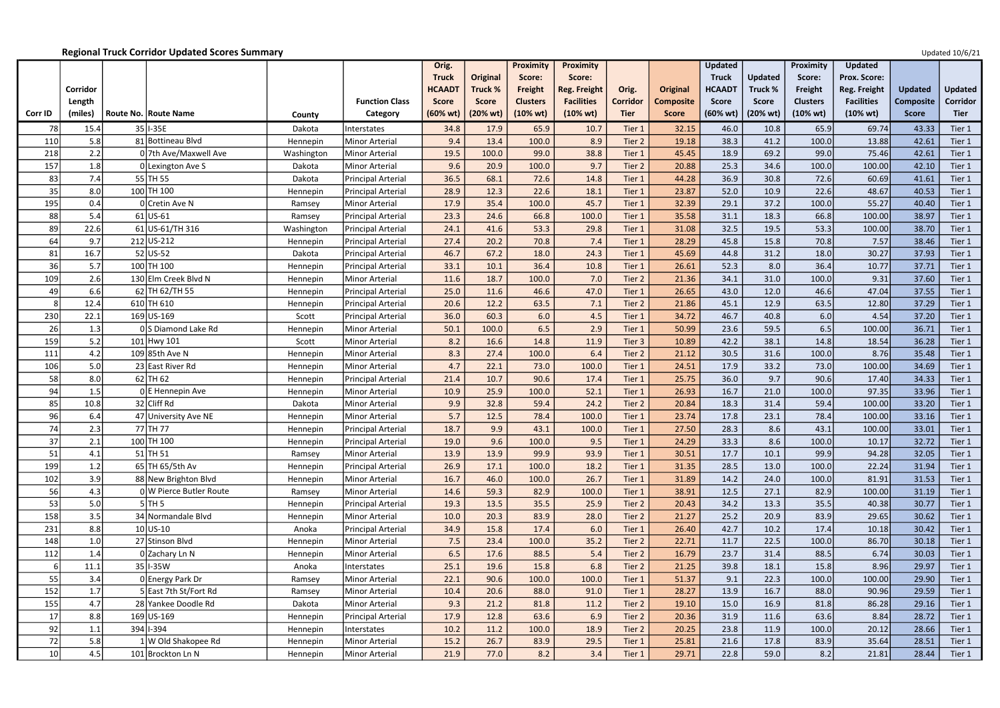|         |          |                             |            |                           | Orig.              |                 | <b>Proximity</b> | <b>Proximity</b>    |                 |                  | <b>Updated</b>     |                | Proximity          | <b>Updated</b>      |                  |                |
|---------|----------|-----------------------------|------------|---------------------------|--------------------|-----------------|------------------|---------------------|-----------------|------------------|--------------------|----------------|--------------------|---------------------|------------------|----------------|
|         |          |                             |            |                           | <b>Truck</b>       | <b>Original</b> | Score:           | Score:              |                 |                  | <b>Truck</b>       | <b>Updated</b> | Score:             | <b>Prox. Score:</b> |                  |                |
|         | Corridor |                             |            |                           | <b>HCAAD1</b>      | Truck %         | Freight          | <b>Reg. Freight</b> | Orig.           | Original         | <b>HCAADT</b>      | Truck %        | Freight            | Reg. Freight        | <b>Updated</b>   | <b>Updated</b> |
|         | Length   |                             |            | <b>Function Class</b>     | <b>Score</b>       | <b>Score</b>    | <b>Clusters</b>  | <b>Facilities</b>   | <b>Corridor</b> | <b>Composite</b> | <b>Score</b>       | <b>Score</b>   | <b>Clusters</b>    | <b>Facilities</b>   | <b>Composite</b> | Corridor       |
| Corr ID | (miles)  | <b>Route No. Route Name</b> | County     | Category                  | $(60% \text{ wt})$ | (20% wt)        | (10% wt)         | $(10% \text{ wt})$  | <b>Tier</b>     | <b>Score</b>     | $(60% \text{ wt})$ | (20% wt)       | $(10% \text{ wt})$ | $(10% \text{ wt})$  | <b>Score</b>     | <b>Tier</b>    |
| 78      | 15.4     | 35 I-35E                    | Dakota     | Interstates               | 34.8               | 17.9            | 65.9             | 10.7                | Tier 1          | 32.15            | 46.0               | 10.8           | 65.9               | 69.74               | 43.33            | Tier 1         |
| 110     | 5.8      | 81 Bottineau Blvd           | Hennepin   | <b>Minor Arterial</b>     | 9.4                | 13.4            | 100.0            | 8.9                 | Tier 2          | 19.18            | 38.3               | 41.2           | 100.0              | 13.88               | 42.61            | Tier 1         |
| 218     | 2.2      | 0 7th Ave/Maxwell Ave       | Washington | <b>Minor Arterial</b>     | 19.5               | 100.0           | 99.0             | 38.8                | Tier 1          | 45.45            | 18.9               | 69.2           | 99.0               | 75.46               | 42.61            | Tier 1         |
| 157     | 1.8      | 0 Lexington Ave S           | Dakota     | <b>Minor Arterial</b>     | 9.6                | 20.9            | 100.0            | 9.7                 | Tier 2          | 20.88            | 25.3               | 34.6           | 100.0              | 100.00              | 42.10            | Tier 1         |
| 83      | 7.4      | 55 TH 55                    | Dakota     | Principal Arterial        | 36.5               | 68.1            | 72.6             | 14.8                | Tier 1          | 44.28            | 36.9               | 30.8           | 72.6               | 60.69               | 41.61            | Tier 1         |
| 35      | 8.0      | 100 TH 100                  | Hennepin   | Principal Arterial        | 28.9               | 12.3            | 22.6             | 18.1                | Tier 1          | 23.87            | 52.0               | 10.9           | 22.6               | 48.67               | 40.53            | Tier 1         |
| 195     | 0.4      | 0 Cretin Ave N              | Ramsey     | <b>Minor Arterial</b>     | 17.9               | 35.4            | 100.0            | 45.7                | Tier 1          | 32.39            | 29.1               | 37.2           | 100.0              | 55.27               | 40.40            | Tier 1         |
| 88      | 5.4      | $61$ US-61                  | Ramsey     | Principal Arterial        | 23.3               | 24.6            | 66.8             | 100.0               | Tier 1          | 35.58            | 31.1               | 18.3           | 66.8               | 100.00              | 38.97            | Tier 1         |
| 89      | 22.6     | 61 US-61/TH 316             | Washingtor | <b>Principal Arterial</b> | 24.1               | 41.6            | 53.3             | 29.8                | Tier 1          | 31.08            | 32.5               | 19.5           | 53.3               | 100.00              | 38.70            | Tier 1         |
| 64      | 9.7      | 212 US-212                  | Hennepin   | Principal Arterial        | 27.4               | 20.2            | 70.8             | 7.4                 | Tier 1          | 28.29            | 45.8               | 15.8           | 70.8               | 7.57                | 38.46            | Tier 1         |
| 81      | 16.7     | 52 US-52                    | Dakota     | <b>Principal Arterial</b> | 46.7               | 67.2            | 18.0             | 24.3                | Tier 1          | 45.69            | 44.8               | 31.2           | 18.0               | 30.27               | 37.93            | Tier 1         |
| 36      | 5.7      | 100 TH 100                  | Hennepin   | Principal Arterial        | 33.1               | 10.1            | 36.4             | 10.8                | Tier 1          | 26.61            | 52.3               | 8.0            | 36.4               | 10.77               | 37.71            | Tier 1         |
| 109     | 2.6      | 130 Elm Creek Blvd N        | Hennepin   | Minor Arterial            | 11.6               | 18.7            | 100.0            | 7.0                 | Tier 2          | 21.36            | 34.1               | 31.0           | 100.0              | 9.31                | 37.60            | Tier 1         |
| 49      | 6.6      | $62$ TH 62/TH 55            | Hennepin   | Principal Arterial        | 25.0               | 11.6            | 46.6             | 47.0                | Tier 1          | 26.65            | 43.0               | 12.0           | 46.6               | 47.04               | 37.55            | Tier 1         |
| 8       | 12.4     | $610$ TH 610                | Hennepin   | <b>Principal Arterial</b> | 20.6               | 12.2            | 63.5             | 7.1                 | Tier 2          | 21.86            | 45.1               | 12.9           | 63.5               | 12.80               | 37.29            | Tier 1         |
| 230     | 22.1     | $169$ US-169                | Scott      | Principal Arterial        | 36.0               | 60.3            | 6.0              | 4.5                 | Tier 1          | 34.72            | 46.7               | 40.8           | 6.0                | 4.54                | 37.20            | Tier 1         |
| 26      | 1.3      | 0 S Diamond Lake Rd         | Hennepin   | Minor Arterial            | 50.1               | 100.0           | 6.5              | 2.9                 | Tier 1          | 50.99            | 23.6               | 59.5           | 6.5                | 100.00              | 36.71            | Tier 1         |
| 159     | 5.2      | 101 Hwy 101                 | Scott      | <b>Minor Arterial</b>     | 8.2                | 16.6            | 14.8             | 11.9                | Tier 3          | 10.89            | 42.2               | 38.1           | 14.8               | 18.54               | 36.28            | Tier 1         |
| 111     | 4.2      | 109 85th Ave N              | Hennepin   | Minor Arterial            | 8.3                | 27.4            | 100.0            | 6.4                 | Tier 2          | 21.12            | 30.5               | 31.6           | 100.0              | 8.76                | 35.48            | Tier 1         |
| 106     | 5.0      | 23 East River Rd            | Hennepin   | Minor Arterial            | 4.7                | 22.1            | 73.0             | 100.0               | Tier 1          | 24.51            | 17.9               | 33.2           | 73.0               | 100.00              | 34.69            | Tier 1         |
| 58      | 8.0      | $62$ TH 62                  | Hennepin   | Principal Arterial        | 21.4               | 10.7            | 90.6             | 17.4                | Tier 1          | 25.75            | 36.0               | 9.7            | 90.6               | 17.40               | 34.33            | Tier 1         |
| 94      | 1.5      | 0E Hennepin Ave             | Hennepin   | <b>Minor Arterial</b>     | 10.9               | 25.9            | 100.0            | 52.1                | Tier 1          | 26.93            | 16.7               | 21.0           | 100.0              | 97.35               | 33.96            | Tier 1         |
| 85      | 10.8     | 32 Cliff Rd                 | Dakota     | Minor Arterial            | 9.9                | 32.8            | 59.4             | 24.2                | Tier 2          | 20.84            | 18.3               | 31.4           | 59.4               | 100.00              | 33.20            | Tier 1         |
| 96      | 6.4      | 47 University Ave NE        | Hennepin   | Minor Arterial            | 5.7                | 12.5            | 78.4             | 100.0               | Tier 1          | 23.74            | 17.8               | 23.1           | 78.4               | 100.00              | 33.16            | Tier 1         |
| 74      | 2.3      | 77 TH 77                    | Hennepin   | Principal Arterial        | 18.7               | 9.9             | 43.1             | 100.0               | Tier 1          | 27.50            | 28.3               | 8.6            | 43.1               | 100.00              | 33.01            | Tier 1         |
| 37      | 2.1      | 100 TH 100                  | Hennepin   | Principal Arterial        | 19.0               | 9.6             | 100.0            | 9.5                 | Tier 1          | 24.29            | 33.3               | 8.6            | 100.0              | 10.17               | 32.72            | Tier 1         |
| 51      | 4.1      | $51$ TH 51                  | Ramsey     | Minor Arterial            | 13.9               | 13.9            | 99.9             | 93.9                | Tier 1          | 30.51            | 17.7               | 10.1           | 99.9               | 94.28               | 32.05            | Tier 1         |
| 199     | 1.2      | 65 TH 65/5th Av             | Hennepin   | Principal Arterial        | 26.9               | 17.1            | 100.0            | 18.2                | Tier 1          | 31.35            | 28.5               | 13.0           | 100.0              | 22.24               | 31.94            | Tier 1         |
| 102     | 3.9      | 88 New Brighton Blvd        | Hennepin   | Minor Arterial            | 16.7               | 46.0            | 100.0            | 26.7                | Tier 1          | 31.89            | 14.2               | 24.0           | 100.0              | 81.91               | 31.53            | Tier 1         |
| 56      | 4.3      | 0 W Pierce Butler Route     | Ramsey     | Minor Arterial            | 14.6               | 59.3            | 82.9             | 100.0               | Tier 1          | 38.91            | 12.5               | 27.1           | 82.9               | 100.00              | 31.19            | Tier 1         |
| 53      | 5.0      | $5$ TH 5                    | Hennepin   | Principal Arterial        | 19.3               | 13.5            | 35.5             | 25.9                | Tier 2          | 20.43            | 34.2               | 13.3           | 35.5               | 40.38               | 30.77            | Tier 1         |
| 158     | 3.5      | 34 Normandale Blvd          | Hennepin   | Minor Arterial            | 10.0               | 20.3            | 83.9             | 28.0                | Tier 2          | 21.27            | 25.2               | 20.9           | 83.9               | 29.65               | 30.62            | Tier 1         |
| 231     | 8.8      | $10$ US-10                  | Anoka      | Principal Arterial        | 34.9               | 15.8            | 17.4             | 6.0                 | Tier 1          | 26.40            | 42.7               | 10.2           | 17.4               | 10.18               | 30.42            | Tier 1         |
| 148     | 1.0      | 27 Stinson Blvd             | Hennepin   | Minor Arterial            | 7.5                | 23.4            | 100.0            | 35.2                | Tier 2          | 22.71            | 11.7               | 22.5           | 100.0              | 86.70               | 30.18            | Tier 1         |
| 112     | 1.4      | $0$ Zachary Ln N            | Hennepin   | Minor Arterial            | 6.5                | 17.6            | 88.5             | 5.4                 | Tier 2          | 16.79            | 23.7               | 31.4           | 88.5               | 6.74                | 30.03            | Tier 1         |
|         | 11.1     | 35 I-35 W                   | Anoka      | Interstates               | 25.1               | 19.6            | 15.8             | 6.8                 | Tier 2          | 21.25            | 39.8               | 18.1           | 15.8               | 8.96                | 29.97            | Tier 1         |
| 55      | 3.4      | 0 Energy Park Dr            | Ramsey     | Minor Arterial            | 22.1               | 90.6            | 100.0            | 100.0               | Tier 1          | 51.37            | 9.1                | 22.3           | 100.0              | 100.00              | 29.90            | Tier 1         |
| 152     | 1.7      | 5 East 7th St/Fort Rd       | Ramsey     | Minor Arterial            | 10.4               | 20.6            | 88.0             | 91.0                | Tier 1          | 28.27            | 13.9               | 16.7           | 88.0               | 90.96               | 29.59            | Tier 1         |
| 155     | 4.7      | 28 Yankee Doodle Rd         | Dakota     | Minor Arterial            | 9.3                | 21.2            | 81.8             | 11.2                | Tier 2          | 19.10            | 15.0               | 16.9           | 81.8               | 86.28               | 29.16            | Tier 1         |
| 17      | 8.8      | 169 US-169                  | Hennepin   | Principal Arterial        | 17.9               | 12.8            | 63.6             | 6.9                 | Tier 2          | 20.36            | 31.9               | 11.6           | 63.6               | 8.84                | 28.72            | Tier 1         |
| 92      | $1.1\,$  | 394 1-394                   | Hennepin   | Interstates               | 10.2               | 11.2            | 100.0            | 18.9                | Tier 2          | 20.25            | 23.8               | 11.9           | 100.0              | 20.12               | 28.66            | Tier 1         |
| 72      | 5.8      | 1 W Old Shakopee Rd         | Hennepin   | <b>Minor Arterial</b>     | 15.2               | 26.7            | 83.9             | 29.5                | Tier 1          | 25.81            | 21.6               | 17.8           | 83.9               | 35.64               | 28.51            | Tier 1         |
| 10      | 4.5      | 101 Brockton Ln N           | Hennepin   | Minor Arterial            | 21.9               | 77.0            | 8.2              | 3.4                 | Tier 1          | 29.71            | 22.8               | 59.0           | 8.2                | 21.81               | 28.44            | Tier 1         |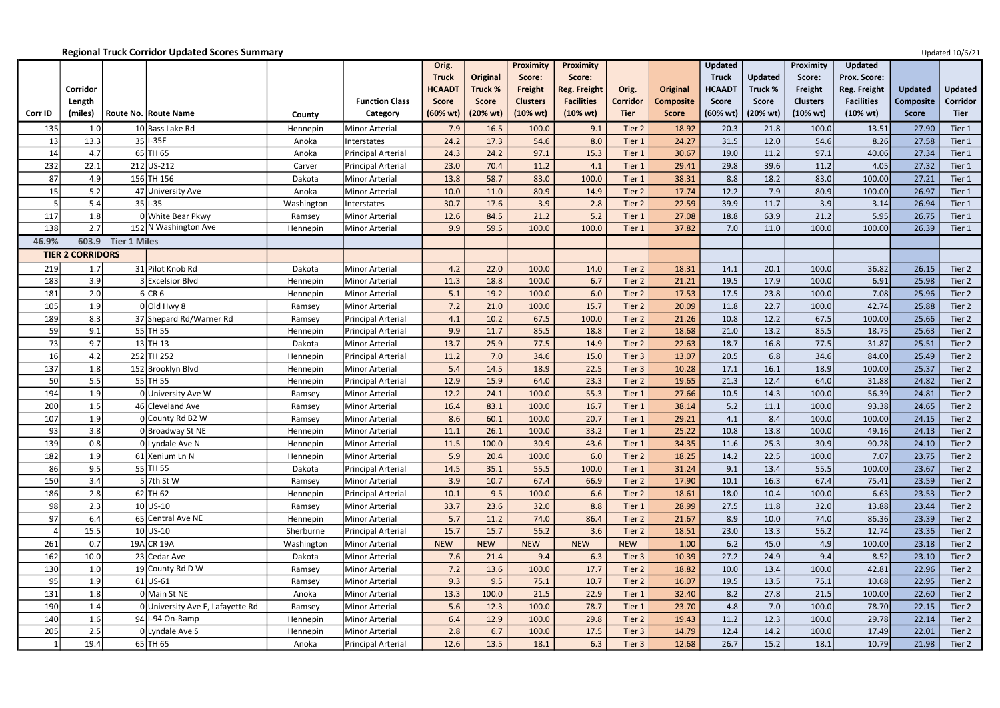|           |                         |                                  |                  |                                      | Orig.                              |                          | Proximity                   | <b>Proximity</b>              |                                |                                  | <b>Updated</b>                     |                          | Proximity                              | <b>Updated</b>                          |                                  |                                |
|-----------|-------------------------|----------------------------------|------------------|--------------------------------------|------------------------------------|--------------------------|-----------------------------|-------------------------------|--------------------------------|----------------------------------|------------------------------------|--------------------------|----------------------------------------|-----------------------------------------|----------------------------------|--------------------------------|
|           |                         |                                  |                  |                                      | <b>Truck</b>                       | <b>Original</b>          | Score:                      | Score:                        |                                |                                  | <b>Truck</b>                       | <b>Updated</b>           | Score:                                 | <b>Prox. Score:</b>                     |                                  |                                |
|           | Corridor                |                                  |                  |                                      | <b>HCAAD1</b>                      | <b>Truck %</b>           | Freight                     | <b>Reg. Freight</b>           | Orig.                          | <b>Original</b>                  | <b>HCAADT</b>                      | Truck %                  | Freight                                | Reg. Freight                            | <b>Updated</b>                   | <b>Updated</b>                 |
| Corr ID   | Length<br>(miles)       | Route No.   Route Name           | County           | <b>Function Class</b><br>Category    | <b>Score</b><br>$(60% \text{ wt})$ | <b>Score</b><br>(20% wt) | <b>Clusters</b><br>(10% wt) | <b>Facilities</b><br>(10% wt) | <b>Corridor</b><br><b>Tier</b> | <b>Composite</b><br><b>Score</b> | <b>Score</b><br>$(60% \text{ wt})$ | <b>Score</b><br>(20% wt) | <b>Clusters</b><br>$(10\% \text{ wt})$ | <b>Facilities</b><br>$(10% \text{ wt})$ | <b>Composite</b><br><b>Score</b> | <b>Corridor</b><br><b>Tier</b> |
| 135       | 1.0                     | 10 Bass Lake Rd                  | Hennepin         | Minor Arterial                       | 7.9                                | 16.5                     | 100.0                       | 9.1                           | Tier 2                         | 18.92                            | 20.3                               | 21.8                     | 100.0                                  | 13.51                                   | 27.90                            | Tier 1                         |
| 13        | 13.3                    | 35 I-35E                         | Anoka            | Interstates                          | 24.2                               | 17.3                     | 54.6                        | 8.0                           | Tier 1                         | 24.27                            | 31.5                               | 12.0                     | 54.6                                   | 8.26                                    | 27.58                            | Tier 1                         |
| 14        | 4.7                     | $65$ TH 65                       | Anoka            | <b>Principal Arterial</b>            | 24.3                               | 24.2                     | 97.1                        | 15.3                          | Tier 1                         | 30.67                            | 19.0                               | 11.2                     | 97.1                                   | 40.06                                   | 27.34                            | Tier 1                         |
| 232       | 22.1                    | 212 US-212                       | Carver           | <b>Principal Arterial</b>            | 23.0                               | 70.4                     | 11.2                        | 4.1                           | Tier 1                         | 29.41                            | 29.8                               | 39.6                     | 11.2                                   | 4.05                                    | 27.32                            | Tier 1                         |
| 87        | 4.9                     | 156 TH 156                       | Dakota           | Minor Arterial                       | 13.8                               | 58.7                     | 83.0                        | 100.0                         | Tier 1                         | 38.31                            | 8.8                                | 18.2                     | 83.0                                   | 100.00                                  | 27.21                            | Tier 1                         |
| 15        | 5.2                     | 47 University Ave                | Anoka            | Minor Arterial                       | 10.0                               | 11.0                     | 80.9                        | 14.9                          | Tier 2                         | 17.74                            | 12.2                               | 7.9                      | 80.9                                   | 100.00                                  | 26.97                            | Tier 1                         |
|           | 5.4                     | $35$  -35                        | Washington       | Interstates                          | 30.7                               | 17.6                     | 3.9                         | 2.8                           | Tier 2                         | 22.59                            | 39.9                               | 11.7                     | 3.9                                    | 3.14                                    | 26.94                            | Tier 1                         |
| 117       | 1.8                     | 0 White Bear Pkwy                | Ramsey           | Minor Arterial                       | 12.6                               | 84.5                     | 21.2                        | 5.2                           | Tier 1                         | 27.08                            | 18.8                               | 63.9                     | 21.2                                   | 5.95                                    | 26.75                            | Tier 1                         |
| 138       | 2.7                     | 152 N Washington Ave             | Hennepin         | Minor Arterial                       | 9.9                                | 59.5                     | 100.0                       | 100.0                         | Tier 1                         | 37.82                            | 7.0                                | 11.0                     | 100.0                                  | 100.00                                  | 26.39                            | Tier 1                         |
| 46.9%     | 603.9                   | <b>Tier 1 Miles</b>              |                  |                                      |                                    |                          |                             |                               |                                |                                  |                                    |                          |                                        |                                         |                                  |                                |
|           | <b>TIER 2 CORRIDORS</b> |                                  |                  |                                      |                                    |                          |                             |                               |                                |                                  |                                    |                          |                                        |                                         |                                  |                                |
| 219       | 1.7                     | 31 Pilot Knob Rd                 | Dakota           | Minor Arterial                       | 4.2                                | 22.0                     | 100.0                       | 14.0                          | Tier 2                         | 18.31                            | 14.1                               | 20.1                     | 100.0                                  | 36.82                                   | 26.15                            | Tier 2                         |
| 183       | 3.9                     | 3 Excelsior Blvd                 | Hennepin         | Minor Arterial                       | 11.3                               | 18.8                     | 100.0                       | 6.7                           | Tier 2                         | 21.21                            | 19.5                               | 17.9                     | 100.0                                  | 6.91                                    | 25.98                            | Tier 2                         |
| 181       | 2.0                     | 6 CR 6                           | Hennepin         | Minor Arterial                       | 5.1                                | 19.2                     | 100.0                       | 6.0                           | Tier 2                         | 17.53                            | 17.5                               | 23.8                     | 100.0                                  | 7.08                                    | 25.96                            | Tier 2                         |
| 105       | 1.9                     | $0$ Old Hwy 8                    | Ramsey           | Minor Arterial                       | 7.2                                | 21.0                     | 100.0                       | 15.7                          | Tier 2                         | 20.09                            | 11.8                               | 22.7                     | 100.0                                  | 42.74                                   | 25.88                            | Tier 2                         |
| 189       | 8.3                     | 37 Shepard Rd/Warner Rd          | Ramsey           | Principal Arterial                   | 4.1                                | 10.2                     | 67.5                        | 100.0                         | Tier 2                         | 21.26                            | 10.8                               | 12.2                     | 67.5                                   | 100.00                                  | 25.66                            | Tier 2                         |
| 59        | 9.1                     | 55 TH 55                         | Hennepin         | Principal Arterial                   | 9.9                                | 11.7                     | 85.5                        | 18.8                          | Tier 2                         | 18.68                            | 21.0                               | 13.2                     | 85.5                                   | 18.75                                   | 25.63                            | Tier 2                         |
| 73        | 9.7                     | $13$ TH 13                       | Dakota           | Minor Arterial                       | 13.7                               | 25.9                     | 77.5                        | 14.9                          | Tier 2                         | 22.63                            | 18.7                               | 16.8                     | 77.5                                   | 31.87                                   | 25.51                            | Tier 2                         |
| 16        | 4.2                     | 252 TH 252                       | Hennepin         | Principal Arterial                   | 11.2                               | 7.0                      | 34.6                        | 15.0                          | Tier 3                         | 13.07                            | 20.5                               | 6.8                      | 34.6                                   | 84.00                                   | 25.49                            | Tier 2                         |
| 137       | 1.8                     | 152 Brooklyn Blvd                | Hennepin         | Minor Arterial                       | 5.4                                | 14.5                     | 18.9                        | 22.5                          | Tier 3                         | 10.28                            | 17.1                               | 16.1                     | 18.9                                   | 100.00                                  | 25.37                            | Tier 2                         |
| 50        | 5.5                     | 55 TH 55                         | Hennepin         | <b>Principal Arterial</b>            | 12.9                               | 15.9                     | 64.0                        | 23.3                          | Tier 2                         | 19.65                            | 21.3                               | 12.4                     | 64.0                                   | 31.88                                   | 24.82                            | Tier 2                         |
| 194       | 1.9                     | 0 University Ave W               | Ramsey           | Minor Arterial                       | 12.2                               | 24.1                     | 100.0                       | 55.3                          | Tier 1                         | 27.66                            | 10.5                               | 14.3                     | 100.0                                  | 56.39                                   | 24.81                            | Tier 2                         |
| 200       | 1.5                     | 46 Cleveland Ave                 | Ramsey           | Minor Arterial                       | 16.4                               | 83.1                     | 100.0                       | 16.7                          | Tier 1                         | 38.14                            | $5.2$                              | 11.1                     | 100.0                                  | 93.38                                   | 24.65                            | Tier 2                         |
| 107       | 1.9                     | 0 County Rd B2 W                 | Ramsey           | Minor Arterial                       | 8.6                                | 60.1                     | 100.0                       | 20.7                          | Tier 1                         | 29.21                            | 4.1                                | 8.4                      | 100.0                                  | 100.00                                  | 24.15                            | Tier 2                         |
| 93        | 3.8                     | 0 Broadway St NE                 | Hennepin         | Minor Arterial                       | 11.1                               | 26.1                     | 100.0                       | 33.2                          | Tier 1                         | 25.22                            | 10.8                               | 13.8                     | 100.0                                  | 49.16                                   | 24.13                            | Tier 2                         |
| 139       | 0.8                     | 0 Lyndale Ave N                  | Hennepin         | Minor Arterial                       | 11.5                               | 100.0                    | 30.9                        | 43.6                          | Tier 1                         | 34.35                            | 11.6                               | 25.3                     | 30.9                                   | 90.28                                   | 24.10                            | Tier 2                         |
| 182       | 1.9                     | 61 Xenium Ln N<br>55 TH 55       | Hennepin         | Minor Arterial                       | 5.9                                | 20.4                     | 100.0                       | 6.0<br>100.0                  | Tier 2<br>Tier 1               | 18.25                            | 14.2<br>9.1                        | 22.5                     | 100.0                                  | 7.07                                    | 23.75                            | Tier 2                         |
| 86<br>150 | 9.5<br>3.4              | $5$ 7th St W                     | Dakota<br>Ramsey | Principal Arterial<br>Minor Arterial | 14.5<br>3.9                        | 35.1<br>10.7             | 55.5<br>67.4                | 66.9                          | Tier 2                         | 31.24<br>17.90                   | 10.1                               | 13.4<br>16.3             | 55.5<br>67.4                           | 100.00<br>75.41                         | 23.67<br>23.59                   | Tier 2<br>Tier 2               |
| 186       | 2.8                     | $62$ TH 62                       | Hennepin         | Principal Arterial                   | 10.1                               | 9.5                      | 100.0                       | 6.6                           | Tier 2                         | 18.61                            | 18.0                               | 10.4                     | 100.0                                  | 6.63                                    | 23.53                            | Tier 2                         |
| 98        | 2.3                     | $10$ US-10                       | Ramsey           | Minor Arterial                       | 33.7                               | 23.6                     | 32.0                        | 8.8                           | Tier 1                         | 28.99                            | 27.5                               | 11.8                     | 32.0                                   | 13.88                                   | 23.44                            | Tier 2                         |
| 97        | 6.4                     | 65 Central Ave NE                | Hennepin         | Minor Arterial                       | 5.7                                | 11.2                     | 74.0                        | 86.4                          | Tier 2                         | 21.67                            | 8.9                                | 10.0                     | 74.0                                   | 86.36                                   | 23.39                            | Tier 2                         |
|           | 15.5                    | $10$ US-10                       | Sherburne        | Principal Arterial                   | 15.7                               | 15.7                     | 56.2                        | 3.6                           | Tier 2                         | 18.51                            | 23.0                               | 13.3                     | 56.2                                   | 12.74                                   | 23.36                            | Tier 2                         |
| 261       | 0.7                     | $19A$ CR 19A                     | Washington       | Minor Arterial                       | <b>NEW</b>                         | <b>NEW</b>               | <b>NEW</b>                  | <b>NEW</b>                    | <b>NEW</b>                     | 1.00                             | $6.2$                              | 45.0                     | 4.9                                    | 100.00                                  | 23.18                            | Tier 2                         |
| 162       | 10.0                    | 23 Cedar Ave                     | Dakota           | Minor Arterial                       | 7.6                                | 21.4                     | 9.4                         | 6.3                           | Tier 3                         | 10.39                            | 27.2                               | 24.9                     | 9.4                                    | 8.52                                    | 23.10                            | Tier 2                         |
| 130       | 1.0                     | 19 County Rd D W                 | Ramsey           | Minor Arterial                       | 7.2                                | 13.6                     | 100.0                       | 17.7                          | Tier 2                         | 18.82                            | 10.0                               | 13.4                     | 100.0                                  | 42.81                                   | 22.96                            | Tier 2                         |
| 95        | 1.9                     | $61$ US-61                       | Ramsey           | Minor Arterial                       | 9.3                                | 9.5                      | 75.1                        | 10.7                          | Tier 2                         | 16.07                            | 19.5                               | 13.5                     | 75.1                                   | 10.68                                   | 22.95                            | Tier 2                         |
| 131       | 1.8                     | 0 Main St NE                     | Anoka            | Minor Arterial                       | 13.3                               | 100.0                    | 21.5                        | 22.9                          | Tier 1                         | 32.40                            | 8.2                                | 27.8                     | 21.5                                   | 100.00                                  | 22.60                            | Tier 2                         |
| 190       | 1.4                     | 0 University Ave E, Lafayette Rd | Ramsey           | Minor Arterial                       | 5.6                                | 12.3                     | 100.0                       | 78.7                          | Tier 1                         | 23.70                            | 4.8                                | 7.0                      | 100.0                                  | 78.70                                   | 22.15                            | Tier 2                         |
| 140       | 1.6                     | 94   I-94 On-Ramp                | Hennepin         | Minor Arterial                       | 6.4                                | 12.9                     | 100.0                       | 29.8                          | Tier 2                         | 19.43                            | 11.2                               | 12.3                     | 100.0                                  | 29.78                                   | 22.14                            | Tier 2                         |
| 205       | 2.5                     | $0$ Lyndale Ave S                | Hennepin         | Minor Arterial                       | 2.8                                | 6.7                      | 100.0                       | 17.5                          | Tier 3                         | 14.79                            | 12.4                               | 14.2                     | 100.0                                  | 17.49                                   | 22.01                            | Tier 2                         |
|           | 19.4                    | 65 TH 65                         | Anoka            | Principal Arterial                   | 12.6                               | 13.5                     | 18.1                        | 6.3                           | Tier 3                         | 12.68                            | 26.7                               | 15.2                     | 18.1                                   | 10.79                                   | 21.98                            | Tier 2                         |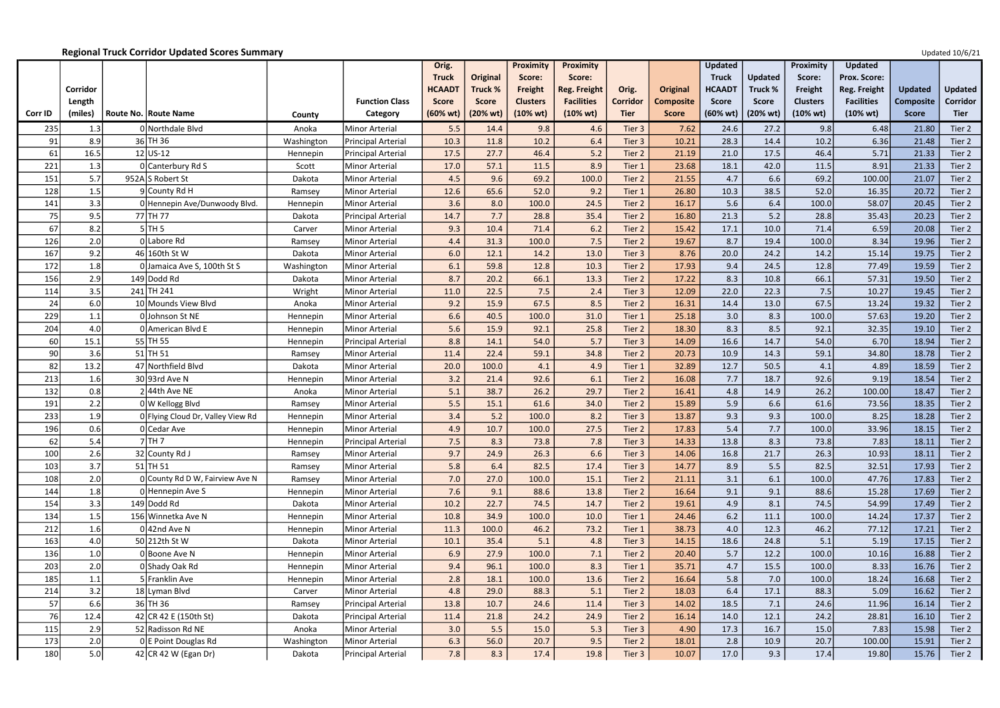|                |          |                                   |            |                       | Orig.         |                 | Proximity       | <b>Proximity</b>    |                 |                  | <b>Updated</b>     |                | Proximity          | <b>Updated</b>      |                  |                |
|----------------|----------|-----------------------------------|------------|-----------------------|---------------|-----------------|-----------------|---------------------|-----------------|------------------|--------------------|----------------|--------------------|---------------------|------------------|----------------|
|                |          |                                   |            |                       | <b>Truck</b>  | <b>Original</b> | Score:          | Score:              |                 |                  | <b>Truck</b>       | <b>Updated</b> | Score:             | <b>Prox. Score:</b> |                  |                |
|                | Corridor |                                   |            |                       | <b>HCAAD1</b> | Truck %         | Freight         | <b>Reg. Freight</b> | Orig.           | Original         | <b>HCAADT</b>      | Truck %        | Freight            | Reg. Freight        | <b>Updated</b>   | <b>Updated</b> |
|                | Length   |                                   |            | <b>Function Class</b> | <b>Score</b>  | <b>Score</b>    | <b>Clusters</b> | <b>Facilities</b>   | <b>Corridor</b> | <b>Composite</b> | <b>Score</b>       | <b>Score</b>   | <b>Clusters</b>    | <b>Facilities</b>   | <b>Composite</b> | Corridor       |
| <b>Corr ID</b> | (miles)  | Route No. Route Name              | County     | Category              | (60% wt)      | (20% wt)        | (10% wt)        | (10% wt)            | <b>Tier</b>     | <b>Score</b>     | $(60% \text{ wt})$ | (20% wt)       | $(10% \text{ wt})$ | $(10% \text{ wt})$  | <b>Score</b>     | <b>Tier</b>    |
| 235            | 1.3      | 0 Northdale Blvd                  | Anoka      | Minor Arterial        | 5.5           | 14.4            | 9.8             | 4.6                 | Tier 3          | 7.62             | 24.6               | 27.2           | 9.8                | 6.48                | 21.80            | Tier 2         |
| 91             | 8.9      | 36 TH 36                          | Washington | Principal Arterial    | 10.3          | 11.8            | 10.2            | 6.4                 | Tier 3          | 10.21            | 28.3               | 14.4           | 10.2               | 6.36                | 21.48            | Tier 2         |
| 61             | 16.5     | $12$ US-12                        | Hennepin   | Principal Arterial    | 17.5          | 27.7            | 46.4            | 5.2                 | Tier 2          | 21.19            | 21.0               | 17.5           | 46.4               | 5.71                | 21.33            | Tier 2         |
| 221            | 1.3      | 0 Canterbury Rd S                 | Scott      | Minor Arterial        | 17.0          | 57.1            | 11.5            | 8.9                 | Tier 1          | 23.68            | 18.1               | 42.0           | 11.5               | 8.91                | 21.33            | Tier 2         |
| 151            | 5.7      | 952AS Robert St                   | Dakota     | Minor Arterial        | 4.5           | 9.6             | 69.2            | 100.0               | Tier 2          | 21.55            | 4.7                | 6.6            | 69.2               | 100.00              | 21.07            | Tier 2         |
| 128            | 1.5      | 9 County Rd H                     | Ramsey     | Minor Arterial        | 12.6          | 65.6            | 52.0            | 9.2                 | Tier 1          | 26.80            | 10.3               | 38.5           | 52.0               | 16.35               | 20.72            | Tier 2         |
| 141            | 3.3      | 0 Hennepin Ave/Dunwoody Blvd.     | Hennepin   | Minor Arterial        | 3.6           | 8.0             | 100.0           | 24.5                | Tier 2          | 16.17            | 5.6                | 6.4            | 100.0              | 58.07               | 20.45            | Tier 2         |
| 75             | 9.5      | 77 TH 77                          | Dakota     | Principal Arterial    | 14.7          | 7.7             | 28.8            | 35.4                | Tier 2          | 16.80            | 21.3               | $5.2$          | 28.8               | 35.43               | 20.23            | Tier 2         |
| 67             | 8.2      | $5$ TH 5                          | Carver     | Minor Arterial        | 9.3           | 10.4            | 71.4            | 6.2                 | Tier 2          | 15.42            | 17.1               | 10.0           | 71.4               | 6.59                | 20.08            | Tier 2         |
| 126            | 2.0      | 0 Labore Rd                       | Ramsey     | <b>Minor Arterial</b> | 4.4           | 31.3            | 100.0           | 7.5                 | Tier 2          | 19.67            | 8.7                | 19.4           | 100.0              | 8.34                | 19.96            | Tier 2         |
| 167            | 9.2      | 46 160th St W                     | Dakota     | Minor Arterial        | 6.0           | 12.1            | 14.2            | 13.0                | Tier 3          | 8.76             | 20.0               | 24.2           | 14.2               | 15.14               | 19.75            | Tier 2         |
| 172            | 1.8      | 0 Jamaica Ave S, 100th St S       | Washington | Minor Arterial        | 6.1           | 59.8            | 12.8            | 10.3                | Tier 2          | 17.93            | 9.4                | 24.5           | 12.8               | 77.49               | 19.59            | Tier 2         |
| 156            | 2.9      | 149 Dodd Rd                       | Dakota     | Minor Arterial        | 8.7           | 20.2            | 66.1            | 13.3                | Tier 2          | 17.22            | 8.3                | 10.8           | 66.1               | 57.31               | 19.50            | Tier 2         |
| 114            | 3.5      | 241 TH 241                        | Wright     | Minor Arterial        | 11.0          | 22.5            | 7.5             | 2.4                 | Tier 3          | 12.09            | 22.0               | 22.3           | 7.5                | 10.27               | 19.45            | Tier 2         |
| 24             | 6.0      | 10 Mounds View Blvd               | Anoka      | Minor Arterial        | 9.2           | 15.9            | 67.5            | 8.5                 | Tier 2          | 16.31            | 14.4               | 13.0           | 67.5               | 13.24               | 19.32            | Tier 2         |
| 229            | 1.1      | 0 Johnson St NE                   | Hennepin   | Minor Arterial        | 6.6           | 40.5            | 100.0           | 31.0                | Tier 1          | 25.18            | 3.0                | 8.3            | 100.0              | 57.63               | 19.20            | Tier 2         |
| 204            | 4.0      | 0 American Blvd E                 | Hennepin   | Minor Arterial        | 5.6           | 15.9            | 92.1            | 25.8                | Tier 2          | 18.30            | 8.3                | 8.5            | 92.1               | 32.35               | 19.10            | Tier 2         |
| 60             | 15.1     | 55 TH 55                          | Hennepin   | Principal Arterial    | 8.8           | 14.1            | 54.0            | 5.7                 | Tier 3          | 14.09            | 16.6               | 14.7           | 54.0               | 6.70                | 18.94            | Tier 2         |
| 90             | 3.6      | $51$ TH 51                        | Ramsey     | Minor Arterial        | 11.4          | 22.4            | 59.1            | 34.8                | Tier 2          | 20.73            | 10.9               | 14.3           | 59.1               | 34.80               | 18.78            | Tier 2         |
| 82             | 13.2     | 47 Northfield Blvd                | Dakota     | Minor Arterial        | 20.0          | 100.0           | 4.1             | 4.9                 | Tier 1          | 32.89            | 12.7               | 50.5           | 4.1                | 4.89                | 18.59            | Tier 2         |
| 213            | 1.6      | $30 93rd$ Ave N                   | Hennepin   | Minor Arterial        | 3.2           | 21.4            | 92.6            | 6.1                 | Tier 2          | 16.08            | 7.7                | 18.7           | 92.6               | 9.19                | 18.54            | Tier 2         |
| 132            | 0.8      | $2$ 44th Ave NE                   | Anoka      | Minor Arterial        | 5.1           | 38.7            | 26.2            | 29.7                | Tier 2          | 16.41            | 4.8                | 14.9           | 26.2               | 100.00              | 18.47            | Tier 2         |
| 191            | 2.2      | 0 W Kellogg Blvd                  | Ramsey     | Minor Arterial        | 5.5           | 15.1            | 61.6            | 34.0                | Tier 2          | 15.89            | 5.9                | 6.6            | 61.6               | 73.56               | 18.35            | Tier 2         |
| 233            | 1.9      | 0 Flying Cloud Dr, Valley View Rd | Hennepin   | Minor Arterial        | 3.4           | 5.2             | 100.0           | 8.2                 | Tier 3          | 13.87            | 9.3                | 9.3            | 100.0              | 8.25                | 18.28            | Tier 2         |
| 196            | 0.6      | 0 Cedar Ave                       | Hennepin   | Minor Arterial        | 4.9           | 10.7            | 100.0           | 27.5                | Tier 2          | 17.83            | 5.4                | 7.7            | 100.0              | 33.96               | 18.15            | Tier 2         |
| 62             | 5.4      | $7$ TH $7$                        | Hennepin   | Principal Arterial    | 7.5           | 8.3             | 73.8            | 7.8                 | Tier 3          | 14.33            | 13.8               | 8.3            | 73.8               | 7.83                | 18.11            | Tier 2         |
| 100            | 2.6      | 32 County Rd J                    | Ramsey     | Minor Arterial        | 9.7           | 24.9            | 26.3            | 6.6                 | Tier 3          | 14.06            | 16.8               | 21.7           | 26.3               | 10.93               | 18.11            | Tier 2         |
| 103            | 3.7      | $51$ TH 51                        | Ramsey     | Minor Arterial        | 5.8           | 6.4             | 82.5            | 17.4                | Tier 3          | 14.77            | 8.9                | 5.5            | 82.5               | 32.51               | 17.93            | Tier 2         |
| 108            | 2.0      | 0 County Rd D W, Fairview Ave N   | Ramsey     | Minor Arterial        | 7.0           | 27.0            | 100.0           | 15.1                | Tier 2          | 21.11            | 3.1                | 6.1            | 100.0              | 47.76               | 17.83            | Tier 2         |
| 144            | 1.8      | 0 Hennepin Ave S                  | Hennepin   | Minor Arterial        | 7.6           | 9.1             | 88.6            | 13.8                | Tier 2          | 16.64            | 9.1                | 9.1            | 88.6               | 15.28               | 17.69            | Tier 2         |
| 154            | 3.3      | 149 Dodd Rd                       | Dakota     | Minor Arterial        | 10.2          | 22.7            | 74.5            | 14.7                | Tier 2          | 19.61            | 4.9                | 8.1            | 74.5               | 54.99               | 17.49            | Tier 2         |
| 134            | 1.5      | 156 Winnetka Ave N                | Hennepin   | Minor Arterial        | 10.8          | 34.9            | 100.0           | 10.0                | Tier 1          | 24.46            | $6.2$              | 11.1           | 100.0              | 14.24               | 17.37            | Tier 2         |
| 212            | 1.6      | $0$  42nd Ave N                   | Hennepin   | Minor Arterial        | 11.3          | 100.0           | 46.2            | 73.2                | Tier 1          | 38.73            | 4.0                | 12.3           | 46.2               | 77.12               | 17.21            | Tier 2         |
| 163            | 4.0      | 50 212th St W                     | Dakota     | Minor Arterial        | 10.1          | 35.4            | 5.1             | 4.8                 | Tier 3          | 14.15            | 18.6               | 24.8           | 5.1                | 5.19                | 17.15            | Tier 2         |
| 136            | 1.0      | 0 Boone Ave N                     | Hennepin   | Minor Arterial        | 6.9           | 27.9            | 100.0           | 7.1                 | Tier 2          | 20.40            | 5.7                | 12.2           | 100.0              | 10.16               | 16.88            | Tier 2         |
| 203            | 2.0      | 0 Shady Oak Rd                    | Hennepin   | Minor Arterial        | 9.4           | 96.1            | 100.0           | 8.3                 | Tier 1          | 35.71            | 4.7                | 15.5           | 100.0              | 8.33                | 16.76            | Tier 2         |
| 185            | 1.1      | 5 Franklin Ave                    | Hennepin   | Minor Arterial        | 2.8           | 18.1            | 100.0           | 13.6                | Tier 2          | 16.64            | 5.8                | 7.0            | 100.0              | 18.24               | 16.68            | Tier 2         |
| 214            | 3.2      | 18 Lyman Blvd                     | Carver     | Minor Arterial        | 4.8           | 29.0            | 88.3            | 5.1                 | Tier 2          | 18.03            | 6.4                | 17.1           | 88.3               | 5.09                | 16.62            | Tier 2         |
| 57             | 6.6      | $36$ TH 36                        | Ramsey     | Principal Arterial    | 13.8          | 10.7            | 24.6            | 11.4                | Tier 3          | 14.02            | 18.5               | 7.1            | 24.6               | 11.96               | 16.14            | Tier 2         |
| 76             | 12.4     | 42 CR 42 E (150th St)             | Dakota     | Principal Arterial    | 11.4          | 21.8            | 24.2            | 24.9                | Tier 2          | 16.14            | 14.0               | 12.1           | 24.2               | 28.81               | 16.10            | Tier 2         |
| 115            | 2.9      | 52 Radisson Rd NE                 | Anoka      | Minor Arterial        | 3.0           | 5.5             | 15.0            | 5.3                 | Tier 3          | 4.90             | 17.3               | 16.7           | 15.0               | 7.83                | 15.98            | Tier 2         |
| 173            | 2.0      | 0 E Point Douglas Rd              | Washington | Minor Arterial        | 6.3           | 56.0            | 20.7            | 9.5                 | Tier 2          | 18.01            | 2.8                | 10.9           | 20.7               | 100.00              | 15.91            | Tier 2         |
| 180            | 5.0      | 42 CR 42 W (Egan Dr)              | Dakota     | Principal Arterial    | 7.8           | 8.3             | 17.4            | 19.8                | Tier 3          | 10.07            | 17.0               | 9.3            | 17.4               | 19.80               | 15.76            | Tier 2         |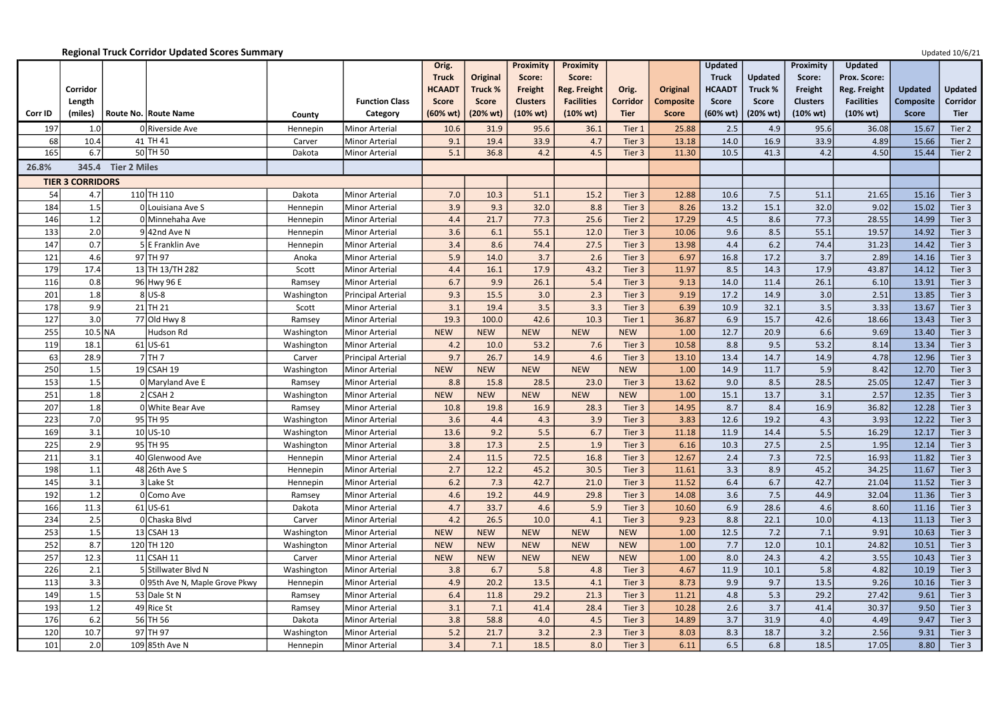|         |                         |                                |            |                       | Orig.              |                 | <b>Proximity</b> | <b>Proximity</b>    |                 |                  | <b>Updated</b>     |                | Proximity          | <b>Updated</b>      |                  |                |
|---------|-------------------------|--------------------------------|------------|-----------------------|--------------------|-----------------|------------------|---------------------|-----------------|------------------|--------------------|----------------|--------------------|---------------------|------------------|----------------|
|         |                         |                                |            |                       | <b>Truck</b>       | <b>Original</b> | Score:           | Score:              |                 |                  | <b>Truck</b>       | <b>Updated</b> | Score:             | <b>Prox. Score:</b> |                  |                |
|         | Corridor                |                                |            |                       | <b>HCAAD1</b>      | Truck %         | Freight          | <b>Reg. Freight</b> | Orig.           | Original         | <b>HCAADT</b>      | Truck %        | Freight            | Reg. Freight        | <b>Updated</b>   | <b>Updated</b> |
|         | Length                  |                                |            | <b>Function Class</b> | <b>Score</b>       | <b>Score</b>    | <b>Clusters</b>  | <b>Facilities</b>   | <b>Corridor</b> | <b>Composite</b> | <b>Score</b>       | <b>Score</b>   | <b>Clusters</b>    | <b>Facilities</b>   | <b>Composite</b> | Corridor       |
| Corr ID | (miles)                 | <b>Route No. Route Name</b>    | County     | Category              | $(60% \text{ wt})$ | (20% wt)        | (10% wt)         | $(10% \text{ wt})$  | <b>Tier</b>     | <b>Score</b>     | $(60% \text{ wt})$ | (20% wt)       | $(10% \text{ wt})$ | $(10\% \text{ wt})$ | <b>Score</b>     | <b>Tier</b>    |
| 197     | 1.0                     | 0 Riverside Ave                | Hennepin   | Minor Arterial        | 10.6               | 31.9            | 95.6             | 36.1                | Tier 1          | 25.88            | 2.5                | 4.9            | 95.6               | 36.08               | 15.67            | Tier 2         |
| 68      | 10.4                    | 41 TH 41                       | Carver     | Minor Arterial        | 9.1                | 19.4            | 33.9             | 4.7                 | Tier 3          | 13.18            | 14.0               | 16.9           | 33.9               | 4.89                | 15.66            | Tier 2         |
| 165     | 6.7                     | $50$ TH 50                     | Dakota     | <b>Minor Arterial</b> | 5.1                | 36.8            | 4.2              | 4.5                 | Tier 3          | 11.30            | 10.5               | 41.3           | 4.2                | 4.50                | 15.44            | Tier 2         |
| 26.8%   |                         | 345.4 Tier 2 Miles             |            |                       |                    |                 |                  |                     |                 |                  |                    |                |                    |                     |                  |                |
|         | <b>TIER 3 CORRIDORS</b> |                                |            |                       |                    |                 |                  |                     |                 |                  |                    |                |                    |                     |                  |                |
| 54      | 4.7                     | 110 TH 110                     | Dakota     | <b>Minor Arterial</b> | 7.0                | 10.3            | 51.1             | 15.2                | Tier 3          | 12.88            | 10.6               | 7.5            | 51.1               | 21.65               | 15.16            | Tier 3         |
| 184     | 1.5                     | 0 Louisiana Ave S              | Hennepin   | <b>Minor Arterial</b> | 3.9                | 9.3             | 32.0             | 8.8                 | Tier 3          | 8.26             | 13.2               | 15.1           | 32.0               | 9.02                | 15.02            | Tier 3         |
| 146     | 1.2                     | 0 Minnehaha Ave                | Hennepin   | Minor Arterial        | 4.4                | 21.7            | 77.3             | 25.6                | Tier 2          | 17.29            | 4.5                | 8.6            | 77.3               | 28.55               | 14.99            | Tier 3         |
| 133     | 2.0                     | $9$ 42nd Ave N                 | Hennepin   | Minor Arterial        | 3.6                | 6.1             | 55.1             | 12.0                | Tier 3          | 10.06            | 9.6                | 8.5            | 55.1               | 19.57               | 14.92            | Tier 3         |
| 147     | 0.7                     | 5E Franklin Ave                | Hennepin   | Minor Arterial        | 3.4                | 8.6             | 74.4             | 27.5                | Tier 3          | 13.98            | 4.4                | $6.2$          | 74.4               | 31.23               | 14.42            | Tier 3         |
| 121     | 4.6                     | 97 TH 97                       | Anoka      | <b>Minor Arterial</b> | 5.9                | 14.0            | 3.7              | 2.6                 | Tier 3          | 6.97             | 16.8               | 17.2           | 3.7                | 2.89                | 14.16            | Tier 3         |
| 179     | 17.4                    | 13 TH 13/TH 282                | Scott      | <b>Minor Arterial</b> | 4.4                | 16.1            | 17.9             | 43.2                | Tier 3          | 11.97            | 8.5                | 14.3           | 17.9               | 43.87               | 14.12            | Tier 3         |
| 116     | 0.8                     | 96 Hwy 96 E                    | Ramsey     | Minor Arterial        | 6.7                | 9.9             | 26.1             | 5.4                 | Tier 3          | 9.13             | 14.0               | 11.4           | 26.1               | 6.10                | 13.91            | Tier 3         |
| 201     | 1.8                     | $8$ US-8                       | Washington | Principal Arterial    | 9.3                | 15.5            | 3.0              | 2.3                 | Tier 3          | 9.19             | 17.2               | 14.9           | 3.0                | 2.51                | 13.85            | Tier 3         |
| 178     | 9.9                     | $21$ TH 21                     | Scott      | Minor Arterial        | 3.1                | 19.4            | 3.5              | 3.3                 | Tier 3          | 6.39             | 10.9               | 32.1           | 3.5                | 3.33                | 13.67            | Tier 3         |
| 127     | 3.0                     | 77 Old Hwy 8                   | Ramsey     | <b>Minor Arterial</b> | 19.3               | 100.0           | 42.6             | 10.3                | Tier 1          | 36.87            | 6.9                | 15.7           | 42.6               | 18.66               | 13.43            | Tier 3         |
| 255     | $10.5$ NA               | Hudson Rd                      | Washington | Minor Arterial        | <b>NEW</b>         | <b>NEW</b>      | <b>NEW</b>       | <b>NEW</b>          | <b>NEW</b>      | 1.00             | 12.7               | 20.9           | 6.6                | 9.69                | 13.40            | Tier 3         |
| 119     | 18.1                    | $61$ US-61                     | Washington | <b>Minor Arterial</b> | 4.2                | 10.0            | 53.2             | 7.6                 | Tier 3          | 10.58            | 8.8                | 9.5            | 53.2               | 8.14                | 13.34            | Tier 3         |
| 63      | 28.9                    | $7$ TH 7                       | Carver     | Principal Arterial    | 9.7                | 26.7            | 14.9             | 4.6                 | Tier 3          | 13.10            | 13.4               | 14.7           | 14.9               | 4.78                | 12.96            | Tier 3         |
| 250     | 1.5                     | 19 CSAH 19                     | Washington | <b>Minor Arterial</b> | <b>NEW</b>         | <b>NEW</b>      | <b>NEW</b>       | <b>NEW</b>          | <b>NEW</b>      | 1.00             | 14.9               | 11.7           | 5.9                | 8.42                | 12.70            | Tier 3         |
| 153     | 1.5                     | 0 Maryland Ave E               | Ramsey     | Minor Arterial        | 8.8                | 15.8            | 28.5             | 23.0                | Tier 3          | 13.62            | 9.0                | 8.5            | 28.5               | 25.05               | 12.47            | Tier 3         |
| 251     | 1.8                     | $2$ CSAH 2                     | Washington | <b>Minor Arterial</b> | <b>NEW</b>         | <b>NEW</b>      | <b>NEW</b>       | <b>NEW</b>          | <b>NEW</b>      | 1.00             | 15.1               | 13.7           | 3.1                | 2.57                | 12.35            | Tier 3         |
| 207     | 1.8                     | 0 White Bear Ave               | Ramsey     | Minor Arterial        | 10.8               | 19.8            | 16.9             | 28.3                | Tier 3          | 14.95            | 8.7                | 8.4            | 16.9               | 36.82               | 12.28            | Tier 3         |
| 223     | 7.0                     | 95 TH 95                       | Washingtor | Minor Arterial        | 3.6                | 4.4             | 4.3              | 3.9                 | Tier 3          | 3.83             | 12.6               | 19.2           | 4.3                | 3.93                | 12.22            | Tier 3         |
| 169     | 3.1                     | $10$ US-10                     | Washington | Minor Arterial        | 13.6               | 9.2             | 5.5              | 6.7                 | Tier 3          | 11.18            | 11.9               | 14.4           | 5.5                | 16.29               | 12.17            | Tier 3         |
| 225     | 2.9                     | 95 TH 95                       | Washington | Minor Arterial        | 3.8                | 17.3            | 2.5              | 1.9                 | Tier 3          | 6.16             | 10.3               | 27.5           | 2.5                | 1.95                | 12.14            | Tier 3         |
| 211     | 3.1                     | 40 Glenwood Ave                | Hennepin   | Minor Arterial        | 2.4                | 11.5            | 72.5             | 16.8                | Tier 3          | 12.67            | 2.4                | 7.3            | 72.5               | 16.93               | 11.82            | Tier 3         |
| 198     | 1.1                     | $48$  26th Ave S               | Hennepin   | Minor Arterial        | 2.7                | 12.2            | 45.2             | 30.5                | Tier 3          | 11.61            | 3.3                | 8.9            | 45.2               | 34.25               | 11.67            | Tier 3         |
| 145     | 3.1                     | 3 Lake St                      | Hennepin   | Minor Arterial        | 6.2                | 7.3             | 42.7             | 21.0                | Tier 3          | 11.52            | 6.4                | 6.7            | 42.7               | 21.04               | 11.52            | Tier 3         |
| 192     | 1.2                     | 0 Como Ave                     | Ramsey     | Minor Arterial        | 4.6                | 19.2            | 44.9             | 29.8                | Tier 3          | 14.08            | 3.6                | 7.5            | 44.9               | 32.04               | 11.36            | Tier 3         |
| 166     | 11.3                    | $61$ US-61                     | Dakota     | Minor Arterial        | 4.7                | 33.7            | 4.6              | 5.9                 | Tier 3          | 10.60            | 6.9                | 28.6           | 4.6                | 8.60                | 11.16            | Tier 3         |
| 234     | 2.5                     | OChaska Blvd                   | Carver     | Minor Arterial        | 4.2                | 26.5            | 10.0             | 4.1                 | Tier 3          | 9.23             | 8.8                | 22.1           | 10.0               | 4.13                | 11.13            | Tier 3         |
| 253     | 1.5                     | $13$ CSAH 13                   | Washington | Minor Arterial        | <b>NEW</b>         | <b>NEW</b>      | <b>NEW</b>       | <b>NEW</b>          | <b>NEW</b>      | 1.00             | 12.5               | 7.2            | 7.1                | 9.91                | 10.63            | Tier 3         |
| 252     | 8.7                     | 120 TH 120                     | Washington | Minor Arterial        | <b>NEW</b>         | <b>NEW</b>      | <b>NEW</b>       | <b>NEW</b>          | <b>NEW</b>      | 1.00             | 7.7                | 12.0           | 10.1               | 24.82               | 10.51            | Tier 3         |
| 257     | 12.3                    | $11$ CSAH 11                   | Carver     | Minor Arterial        | <b>NEW</b>         | <b>NEW</b>      | <b>NEW</b>       | <b>NEW</b>          | <b>NEW</b>      | 1.00             | 8.0                | 24.3           | 4.2                | 3.55                | 10.43            | Tier 3         |
| 226     | 2.1                     | 5 Stillwater Blvd N            | Washington | Minor Arterial        | 3.8                | 6.7             | 5.8              | 4.8                 | Tier 3          | 4.67             | 11.9               | 10.1           | 5.8                | 4.82                | 10.19            | Tier 3         |
| 113     | 3.3                     | 0 95th Ave N, Maple Grove Pkwy | Hennepin   | Minor Arterial        | 4.9                | 20.2            | 13.5             | 4.1                 | Tier 3          | 8.73             | 9.9                | 9.7            | 13.5               | 9.26                | 10.16            | Tier 3         |
| 149     | 1.5                     | 53 Dale St N                   | Ramsey     | Minor Arterial        | 6.4                | 11.8            | 29.2             | 21.3                | Tier 3          | 11.21            | 4.8                | 5.3            | 29.2               | 27.42               | 9.61             | Tier 3         |
| 193     | 1.2                     | 49 Rice St                     | Ramsey     | Minor Arterial        | 3.1                | 7.1             | 41.4             | 28.4                | Tier 3          | 10.28            | 2.6                | 3.7            | 41.4               | 30.37               | 9.50             | Tier 3         |
| 176     | 6.2                     | $56$ TH 56                     | Dakota     | Minor Arterial        | 3.8                | 58.8            | 4.0              | 4.5                 | Tier 3          | 14.89            | 3.7                | 31.9           | 4.0                | 4.49                | 9.47             | Tier 3         |
| 120     | 10.7                    | 97 TH 97                       | Washington | Minor Arterial        | 5.2                | 21.7            | 3.2              | 2.3                 | Tier 3          | 8.03             | 8.3                | 18.7           | 3.2                | 2.56                | 9.31             | Tier 3         |
| 101     | 2.0                     | 109 85th Ave N                 | Hennepin   | Minor Arterial        | 3.4                | 7.1             | 18.5             | 8.0                 | Tier 3          | 6.11             | 6.5                | 6.8            | 18.5               | 17.05               | 8.80             | Tier 3         |